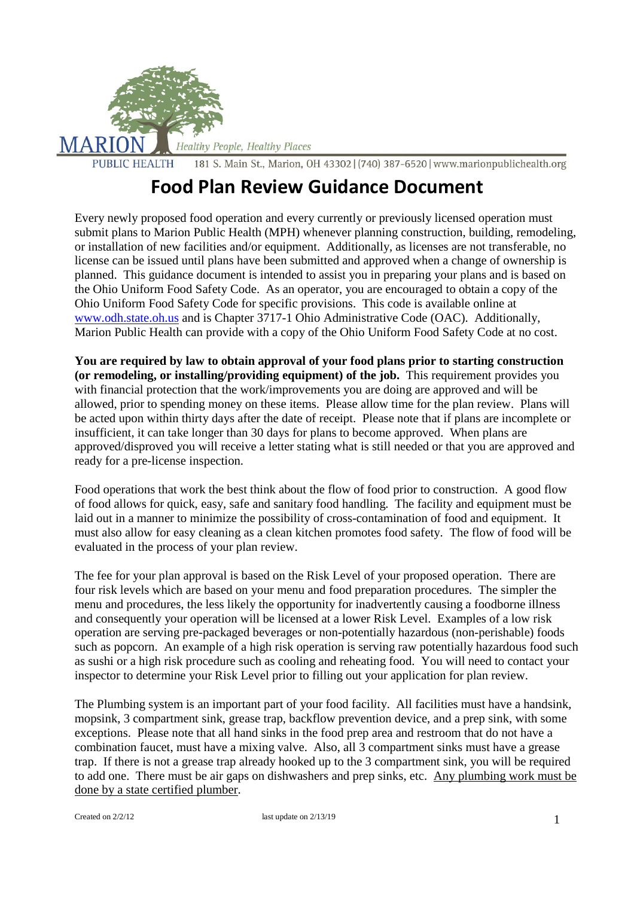

# **Food Plan Review Guidance Document**

Every newly proposed food operation and every currently or previously licensed operation must submit plans to Marion Public Health (MPH) whenever planning construction, building, remodeling, or installation of new facilities and/or equipment. Additionally, as licenses are not transferable, no license can be issued until plans have been submitted and approved when a change of ownership is planned. This guidance document is intended to assist you in preparing your plans and is based on the Ohio Uniform Food Safety Code. As an operator, you are encouraged to obtain a copy of the Ohio Uniform Food Safety Code for specific provisions. This code is available online at www.odh.state.oh.us and is Chapter 3717-1 Ohio Administrative Code (OAC). Additionally, Marion Public Health can provide with a copy of the Ohio Uniform Food Safety Code at no cost.

**You are required by law to obtain approval of your food plans prior to starting construction (or remodeling, or installing/providing equipment) of the job.** This requirement provides you with financial protection that the work/improvements you are doing are approved and will be allowed, prior to spending money on these items. Please allow time for the plan review. Plans will be acted upon within thirty days after the date of receipt. Please note that if plans are incomplete or insufficient, it can take longer than 30 days for plans to become approved. When plans are approved/disproved you will receive a letter stating what is still needed or that you are approved and ready for a pre-license inspection.

Food operations that work the best think about the flow of food prior to construction. A good flow of food allows for quick, easy, safe and sanitary food handling. The facility and equipment must be laid out in a manner to minimize the possibility of cross-contamination of food and equipment. It must also allow for easy cleaning as a clean kitchen promotes food safety. The flow of food will be evaluated in the process of your plan review.

The fee for your plan approval is based on the Risk Level of your proposed operation. There are four risk levels which are based on your menu and food preparation procedures. The simpler the menu and procedures, the less likely the opportunity for inadvertently causing a foodborne illness and consequently your operation will be licensed at a lower Risk Level. Examples of a low risk operation are serving pre-packaged beverages or non-potentially hazardous (non-perishable) foods such as popcorn. An example of a high risk operation is serving raw potentially hazardous food such as sushi or a high risk procedure such as cooling and reheating food. You will need to contact your inspector to determine your Risk Level prior to filling out your application for plan review.

The Plumbing system is an important part of your food facility. All facilities must have a handsink, mopsink, 3 compartment sink, grease trap, backflow prevention device, and a prep sink, with some exceptions. Please note that all hand sinks in the food prep area and restroom that do not have a combination faucet, must have a mixing valve. Also, all 3 compartment sinks must have a grease trap. If there is not a grease trap already hooked up to the 3 compartment sink, you will be required to add one. There must be air gaps on dishwashers and prep sinks, etc. Any plumbing work must be done by a state certified plumber.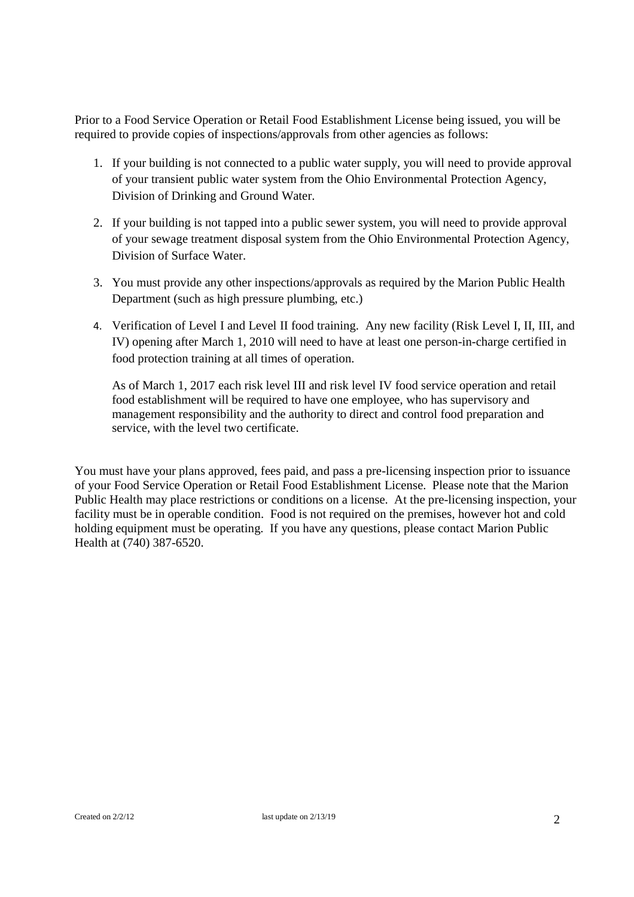Prior to a Food Service Operation or Retail Food Establishment License being issued, you will be required to provide copies of inspections/approvals from other agencies as follows:

- 1. If your building is not connected to a public water supply, you will need to provide approval of your transient public water system from the Ohio Environmental Protection Agency, Division of Drinking and Ground Water.
- 2. If your building is not tapped into a public sewer system, you will need to provide approval of your sewage treatment disposal system from the Ohio Environmental Protection Agency, Division of Surface Water.
- 3. You must provide any other inspections/approvals as required by the Marion Public Health Department (such as high pressure plumbing, etc.)
- 4. Verification of Level I and Level II food training. Any new facility (Risk Level I, II, III, and IV) opening after March 1, 2010 will need to have at least one person-in-charge certified in food protection training at all times of operation.

As of March 1, 2017 each risk level III and risk level IV food service operation and retail food establishment will be required to have one employee, who has supervisory and management responsibility and the authority to direct and control food preparation and service, with the level two certificate.

You must have your plans approved, fees paid, and pass a pre-licensing inspection prior to issuance of your Food Service Operation or Retail Food Establishment License. Please note that the Marion Public Health may place restrictions or conditions on a license. At the pre-licensing inspection, your facility must be in operable condition. Food is not required on the premises, however hot and cold holding equipment must be operating. If you have any questions, please contact Marion Public Health at (740) 387-6520.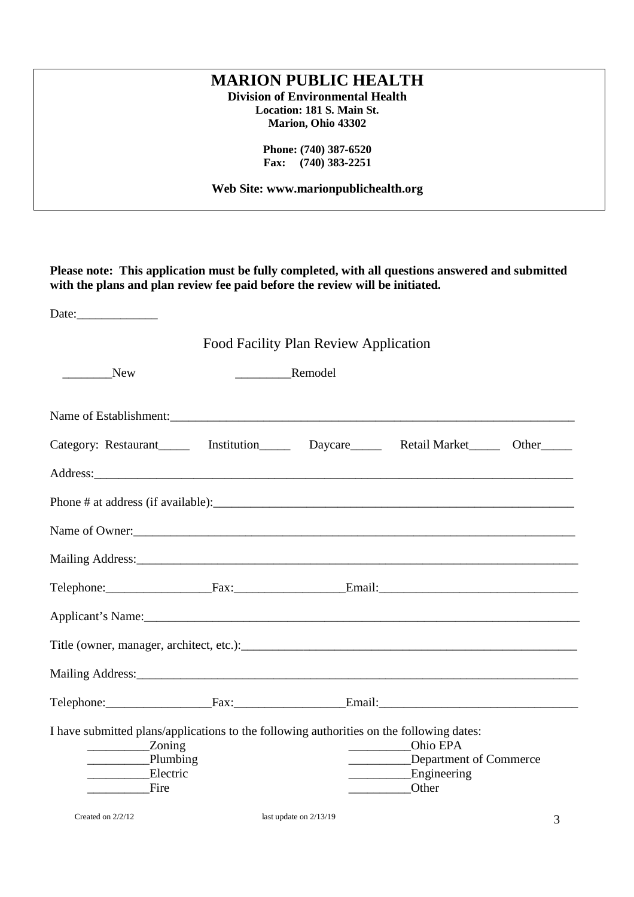# **Please note: This application must be fully completed, with all questions answered and submitted with the plans and plan review fee paid before the review will be initiated.** Date:\_\_\_\_\_\_\_\_\_\_\_\_\_ Food Facility Plan Review Application New Remodel Name of Establishment: Category: Restaurant Linstitution Daycare Retail Market Other Address: Phone # at address (if available):\_\_\_\_\_\_\_\_\_\_\_\_\_\_\_\_\_\_\_\_\_\_\_\_\_\_\_\_\_\_\_\_\_\_\_\_\_\_\_\_\_\_\_\_\_\_\_\_\_\_\_\_\_\_\_\_\_\_ Name of Owner: Mailing Address:\_\_\_\_\_\_\_\_\_\_\_\_\_\_\_\_\_\_\_\_\_\_\_\_\_\_\_\_\_\_\_\_\_\_\_\_\_\_\_\_\_\_\_\_\_\_\_\_\_\_\_\_\_\_\_\_\_\_\_\_\_\_\_\_\_\_\_\_\_\_\_ Telephone: Fax: Fax: Email: Applicant's Name:\_\_\_\_\_\_\_\_\_\_\_\_\_\_\_\_\_\_\_\_\_\_\_\_\_\_\_\_\_\_\_\_\_\_\_\_\_\_\_\_\_\_\_\_\_\_\_\_\_\_\_\_\_\_\_\_\_\_\_\_\_\_\_\_\_\_\_\_\_\_ Title (owner, manager, architect, etc.):\_\_\_\_\_\_\_\_\_\_\_\_\_\_\_\_\_\_\_\_\_\_\_\_\_\_\_\_\_\_\_\_\_\_\_\_\_\_\_\_\_\_\_\_\_\_\_\_\_\_\_\_\_\_ Mailing Address:\_\_\_\_\_\_\_\_\_\_\_\_\_\_\_\_\_\_\_\_\_\_\_\_\_\_\_\_\_\_\_\_\_\_\_\_\_\_\_\_\_\_\_\_\_\_\_\_\_\_\_\_\_\_\_\_\_\_\_\_\_\_\_\_\_\_\_\_\_\_\_ Telephone: Fax: Fax: Email: I have submitted plans/applications to the following authorities on the following dates: \_\_\_\_\_\_\_\_\_\_Zoning \_\_\_\_\_\_\_\_\_\_Ohio EPA **Example 2** Department of Commerce \_\_\_\_\_\_\_\_\_\_Electric \_\_\_\_\_\_\_\_\_\_Engineering \_\_\_\_\_\_\_\_\_\_Fire \_\_\_\_\_\_\_\_\_\_Other **MARION PUBLIC HEALTH Division of Environmental Health Location: 181 S. Main St. Marion, Ohio 43302 Phone: (740) 387-6520 Fax: (740) 383-2251 Web Site: www.marionpublichealth.org**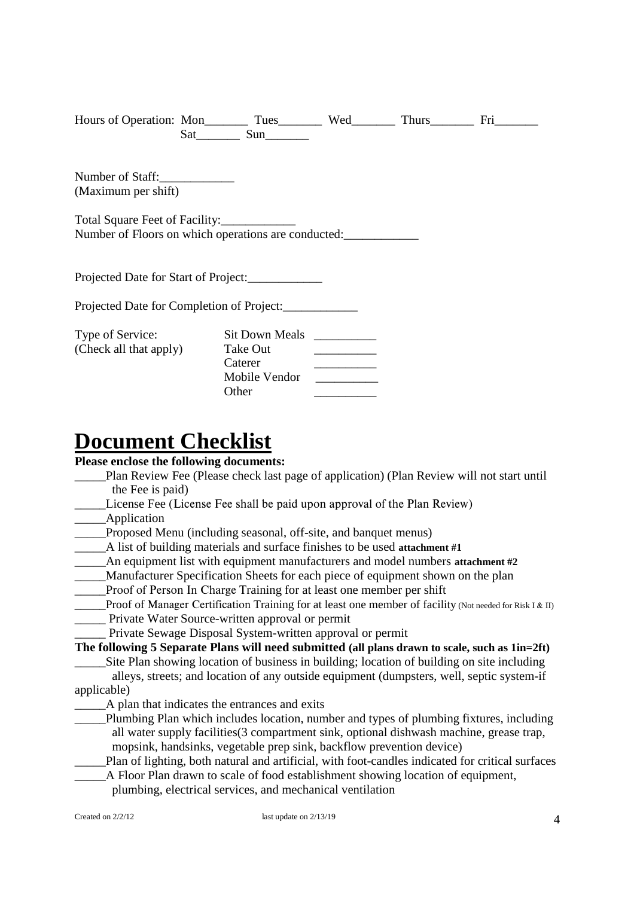| Hours of Operation: Mon__________ Tues___________ Wed__________ Thurs__________ Fri____ | $Sat$ $Sun$    |                          |  |
|-----------------------------------------------------------------------------------------|----------------|--------------------------|--|
| Number of Staff:                                                                        |                |                          |  |
| (Maximum per shift)                                                                     |                |                          |  |
| Total Square Feet of Facility:_____________                                             |                |                          |  |
| Number of Floors on which operations are conducted:                                     |                |                          |  |
|                                                                                         |                |                          |  |
| Projected Date for Start of Project:                                                    |                |                          |  |
| Projected Date for Completion of Project:                                               |                |                          |  |
| Type of Service:                                                                        | Sit Down Meals |                          |  |
| (Check all that apply)                                                                  | Take Out       |                          |  |
|                                                                                         | Caterer        | $\overline{\phantom{a}}$ |  |
|                                                                                         | Mobile Vendor  |                          |  |
|                                                                                         | Other          |                          |  |
|                                                                                         |                |                          |  |

# **Document Checklist**

#### **Please enclose the following documents:**

- \_\_\_\_\_Plan Review Fee (Please check last page of application) (Plan Review will not start until the Fee is paid)
- License Fee (License Fee shall be paid upon approval of the Plan Review)
- \_\_\_\_\_Application
- Proposed Menu (including seasonal, off-site, and banquet menus)
- \_\_\_\_\_A list of building materials and surface finishes to be used **attachment #1**
- An equipment list with equipment manufacturers and model numbers attachment #2
- \_\_\_\_\_Manufacturer Specification Sheets for each piece of equipment shown on the plan
- \_\_\_\_\_Proof of Person In Charge Training for at least one member per shift
- Proof of Manager Certification Training for at least one member of facility (Not needed for Risk I & II)
- \_\_\_\_\_ Private Water Source-written approval or permit
- \_\_\_\_\_ Private Sewage Disposal System-written approval or permit

```
The following 5 Separate Plans will need submitted (all plans drawn to scale, such as 1in=2ft)
```
- \_\_\_\_\_Site Plan showing location of business in building; location of building on site including alleys, streets; and location of any outside equipment (dumpsters, well, septic system-if applicable)
	- \_\_\_\_\_A plan that indicates the entrances and exits
	- Plumbing Plan which includes location, number and types of plumbing fixtures, including all water supply facilities(3 compartment sink, optional dishwash machine, grease trap, mopsink, handsinks, vegetable prep sink, backflow prevention device)
	- \_\_\_\_\_Plan of lighting, both natural and artificial, with foot-candles indicated for critical surfaces \_\_\_\_\_A Floor Plan drawn to scale of food establishment showing location of equipment,
		- plumbing, electrical services, and mechanical ventilation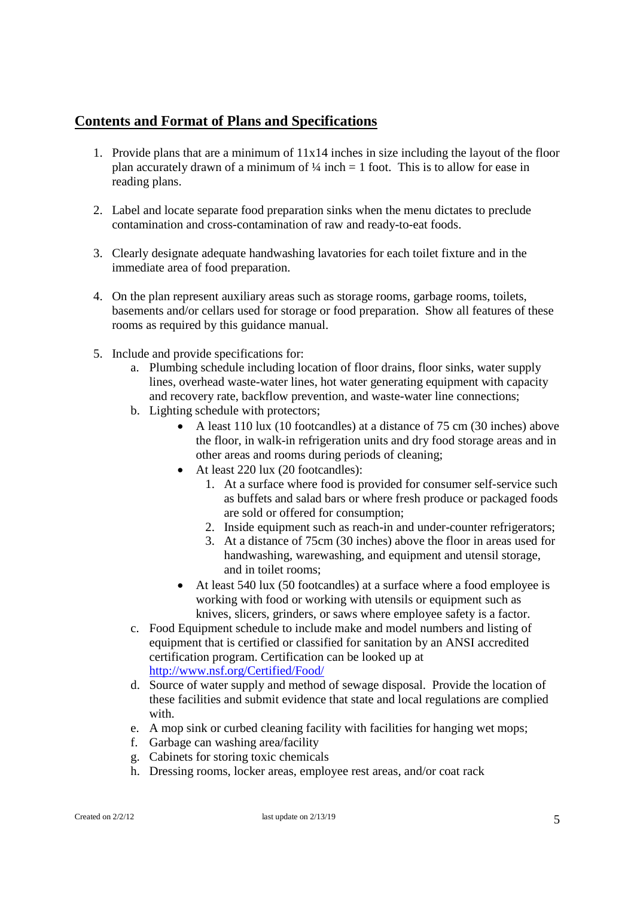#### **Contents and Format of Plans and Specifications**

- 1. Provide plans that are a minimum of 11x14 inches in size including the layout of the floor plan accurately drawn of a minimum of  $\frac{1}{4}$  inch = 1 foot. This is to allow for ease in reading plans.
- 2. Label and locate separate food preparation sinks when the menu dictates to preclude contamination and cross-contamination of raw and ready-to-eat foods.
- 3. Clearly designate adequate handwashing lavatories for each toilet fixture and in the immediate area of food preparation.
- 4. On the plan represent auxiliary areas such as storage rooms, garbage rooms, toilets, basements and/or cellars used for storage or food preparation. Show all features of these rooms as required by this guidance manual.
- 5. Include and provide specifications for:
	- a. Plumbing schedule including location of floor drains, floor sinks, water supply lines, overhead waste-water lines, hot water generating equipment with capacity and recovery rate, backflow prevention, and waste-water line connections;
	- b. Lighting schedule with protectors;
		- A least 110 lux (10 footcandles) at a distance of 75 cm (30 inches) above the floor, in walk-in refrigeration units and dry food storage areas and in other areas and rooms during periods of cleaning;
		- At least 220 lux (20 footcandles):
			- 1. At a surface where food is provided for consumer self-service such as buffets and salad bars or where fresh produce or packaged foods are sold or offered for consumption;
			- 2. Inside equipment such as reach-in and under-counter refrigerators;
			- 3. At a distance of 75cm (30 inches) above the floor in areas used for handwashing, warewashing, and equipment and utensil storage, and in toilet rooms;
		- At least 540 lux (50 footcandles) at a surface where a food employee is working with food or working with utensils or equipment such as knives, slicers, grinders, or saws where employee safety is a factor.
	- c. Food Equipment schedule to include make and model numbers and listing of equipment that is certified or classified for sanitation by an ANSI accredited certification program. Certification can be looked up at http://www.nsf.org/Certified/Food/
	- d. Source of water supply and method of sewage disposal. Provide the location of these facilities and submit evidence that state and local regulations are complied with.
	- e. A mop sink or curbed cleaning facility with facilities for hanging wet mops;
	- f. Garbage can washing area/facility
	- g. Cabinets for storing toxic chemicals
	- h. Dressing rooms, locker areas, employee rest areas, and/or coat rack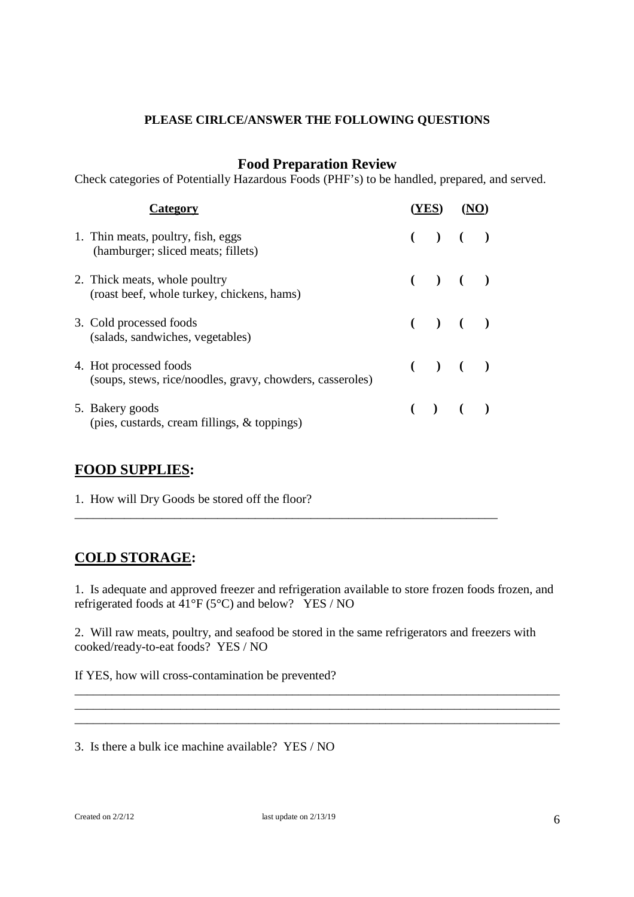#### **PLEASE CIRLCE/ANSWER THE FOLLOWING QUESTIONS**

#### **Food Preparation Review**

Check categories of Potentially Hazardous Foods (PHF's) to be handled, prepared, and served.

| Category                                                                            |  |         |  |
|-------------------------------------------------------------------------------------|--|---------|--|
| 1. Thin meats, poultry, fish, eggs<br>(hamburger; sliced meats; fillets)            |  | $( ) )$ |  |
| 2. Thick meats, whole poultry<br>(roast beef, whole turkey, chickens, hams)         |  | ( ) ( ) |  |
| 3. Cold processed foods<br>(salads, sandwiches, vegetables)                         |  | ( ) ( ) |  |
| 4. Hot processed foods<br>(soups, stews, rice/noodles, gravy, chowders, casseroles) |  | ( ) ( ) |  |
| 5. Bakery goods<br>(pies, custards, cream fillings, & toppings)                     |  | ( ) ( ) |  |

\_\_\_\_\_\_\_\_\_\_\_\_\_\_\_\_\_\_\_\_\_\_\_\_\_\_\_\_\_\_\_\_\_\_\_\_\_\_\_\_\_\_\_\_\_\_\_\_\_\_\_\_\_\_\_\_\_\_\_\_\_\_\_\_\_\_\_\_

#### **FOOD SUPPLIES:**

1. How will Dry Goods be stored off the floor?

## **COLD STORAGE:**

1. Is adequate and approved freezer and refrigeration available to store frozen foods frozen, and refrigerated foods at  $41^{\circ}F(5^{\circ}C)$  and below? YES / NO

\_\_\_\_\_\_\_\_\_\_\_\_\_\_\_\_\_\_\_\_\_\_\_\_\_\_\_\_\_\_\_\_\_\_\_\_\_\_\_\_\_\_\_\_\_\_\_\_\_\_\_\_\_\_\_\_\_\_\_\_\_\_\_\_\_\_\_\_\_\_\_\_\_\_\_\_\_\_

\_\_\_\_\_\_\_\_\_\_\_\_\_\_\_\_\_\_\_\_\_\_\_\_\_\_\_\_\_\_\_\_\_\_\_\_\_\_\_\_\_\_\_\_\_\_\_\_\_\_\_\_\_\_\_\_\_\_\_\_\_\_\_\_\_\_\_\_\_\_\_\_\_\_\_\_\_\_

2. Will raw meats, poultry, and seafood be stored in the same refrigerators and freezers with cooked/ready-to-eat foods? YES / NO

If YES, how will cross-contamination be prevented?

3. Is there a bulk ice machine available? YES / NO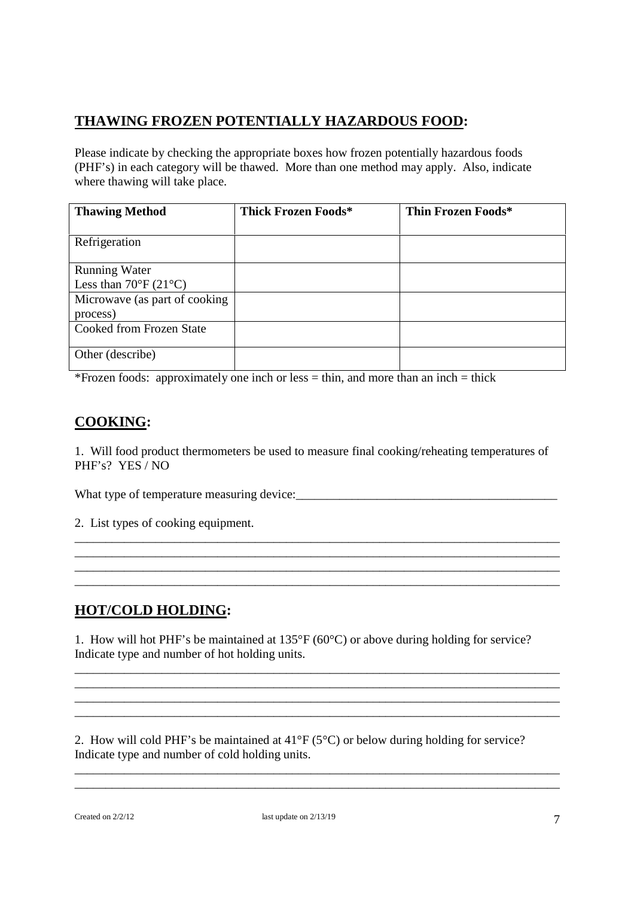# **THAWING FROZEN POTENTIALLY HAZARDOUS FOOD:**

Please indicate by checking the appropriate boxes how frozen potentially hazardous foods (PHF's) in each category will be thawed. More than one method may apply. Also, indicate where thawing will take place.

| <b>Thawing Method</b>                      | Thick Frozen Foods* | Thin Frozen Foods* |
|--------------------------------------------|---------------------|--------------------|
|                                            |                     |                    |
| Refrigeration                              |                     |                    |
|                                            |                     |                    |
| <b>Running Water</b>                       |                     |                    |
| Less than $70^{\circ}$ F (21 $^{\circ}$ C) |                     |                    |
| Microwave (as part of cooking              |                     |                    |
| process)                                   |                     |                    |
| <b>Cooked from Frozen State</b>            |                     |                    |
|                                            |                     |                    |
| Other (describe)                           |                     |                    |
|                                            |                     |                    |

\*Frozen foods: approximately one inch or less = thin, and more than an inch = thick

#### **COOKING:**

1. Will food product thermometers be used to measure final cooking/reheating temperatures of PHF's? YES / NO

\_\_\_\_\_\_\_\_\_\_\_\_\_\_\_\_\_\_\_\_\_\_\_\_\_\_\_\_\_\_\_\_\_\_\_\_\_\_\_\_\_\_\_\_\_\_\_\_\_\_\_\_\_\_\_\_\_\_\_\_\_\_\_\_\_\_\_\_\_\_\_\_\_\_\_\_\_\_ \_\_\_\_\_\_\_\_\_\_\_\_\_\_\_\_\_\_\_\_\_\_\_\_\_\_\_\_\_\_\_\_\_\_\_\_\_\_\_\_\_\_\_\_\_\_\_\_\_\_\_\_\_\_\_\_\_\_\_\_\_\_\_\_\_\_\_\_\_\_\_\_\_\_\_\_\_\_ \_\_\_\_\_\_\_\_\_\_\_\_\_\_\_\_\_\_\_\_\_\_\_\_\_\_\_\_\_\_\_\_\_\_\_\_\_\_\_\_\_\_\_\_\_\_\_\_\_\_\_\_\_\_\_\_\_\_\_\_\_\_\_\_\_\_\_\_\_\_\_\_\_\_\_\_\_\_ \_\_\_\_\_\_\_\_\_\_\_\_\_\_\_\_\_\_\_\_\_\_\_\_\_\_\_\_\_\_\_\_\_\_\_\_\_\_\_\_\_\_\_\_\_\_\_\_\_\_\_\_\_\_\_\_\_\_\_\_\_\_\_\_\_\_\_\_\_\_\_\_\_\_\_\_\_\_

What type of temperature measuring device:\_\_\_\_\_\_\_\_\_\_\_\_\_\_\_\_\_\_\_\_\_\_\_\_\_\_\_\_\_\_\_\_\_\_\_\_\_\_\_\_\_\_

2. List types of cooking equipment.

## **HOT/COLD HOLDING:**

1. How will hot PHF's be maintained at 135°F (60°C) or above during holding for service? Indicate type and number of hot holding units.

\_\_\_\_\_\_\_\_\_\_\_\_\_\_\_\_\_\_\_\_\_\_\_\_\_\_\_\_\_\_\_\_\_\_\_\_\_\_\_\_\_\_\_\_\_\_\_\_\_\_\_\_\_\_\_\_\_\_\_\_\_\_\_\_\_\_\_\_\_\_\_\_\_\_\_\_\_\_ \_\_\_\_\_\_\_\_\_\_\_\_\_\_\_\_\_\_\_\_\_\_\_\_\_\_\_\_\_\_\_\_\_\_\_\_\_\_\_\_\_\_\_\_\_\_\_\_\_\_\_\_\_\_\_\_\_\_\_\_\_\_\_\_\_\_\_\_\_\_\_\_\_\_\_\_\_\_ \_\_\_\_\_\_\_\_\_\_\_\_\_\_\_\_\_\_\_\_\_\_\_\_\_\_\_\_\_\_\_\_\_\_\_\_\_\_\_\_\_\_\_\_\_\_\_\_\_\_\_\_\_\_\_\_\_\_\_\_\_\_\_\_\_\_\_\_\_\_\_\_\_\_\_\_\_\_ \_\_\_\_\_\_\_\_\_\_\_\_\_\_\_\_\_\_\_\_\_\_\_\_\_\_\_\_\_\_\_\_\_\_\_\_\_\_\_\_\_\_\_\_\_\_\_\_\_\_\_\_\_\_\_\_\_\_\_\_\_\_\_\_\_\_\_\_\_\_\_\_\_\_\_\_\_\_

\_\_\_\_\_\_\_\_\_\_\_\_\_\_\_\_\_\_\_\_\_\_\_\_\_\_\_\_\_\_\_\_\_\_\_\_\_\_\_\_\_\_\_\_\_\_\_\_\_\_\_\_\_\_\_\_\_\_\_\_\_\_\_\_\_\_\_\_\_\_\_\_\_\_\_\_\_\_ \_\_\_\_\_\_\_\_\_\_\_\_\_\_\_\_\_\_\_\_\_\_\_\_\_\_\_\_\_\_\_\_\_\_\_\_\_\_\_\_\_\_\_\_\_\_\_\_\_\_\_\_\_\_\_\_\_\_\_\_\_\_\_\_\_\_\_\_\_\_\_\_\_\_\_\_\_\_

2. How will cold PHF's be maintained at 41°F (5°C) or below during holding for service? Indicate type and number of cold holding units.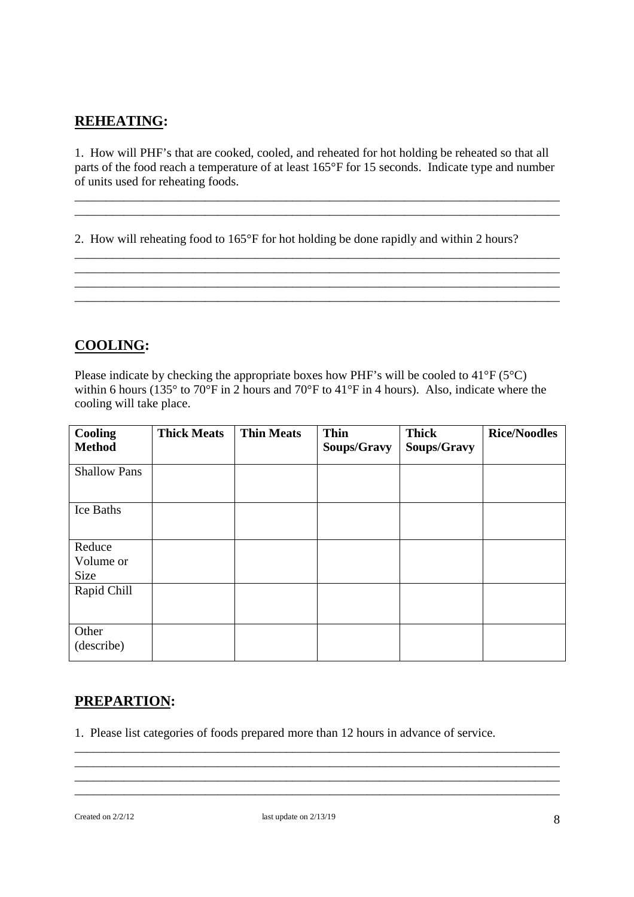## **REHEATING:**

1. How will PHF's that are cooked, cooled, and reheated for hot holding be reheated so that all parts of the food reach a temperature of at least 165°F for 15 seconds. Indicate type and number of units used for reheating foods.

\_\_\_\_\_\_\_\_\_\_\_\_\_\_\_\_\_\_\_\_\_\_\_\_\_\_\_\_\_\_\_\_\_\_\_\_\_\_\_\_\_\_\_\_\_\_\_\_\_\_\_\_\_\_\_\_\_\_\_\_\_\_\_\_\_\_\_\_\_\_\_\_\_\_\_\_\_\_ \_\_\_\_\_\_\_\_\_\_\_\_\_\_\_\_\_\_\_\_\_\_\_\_\_\_\_\_\_\_\_\_\_\_\_\_\_\_\_\_\_\_\_\_\_\_\_\_\_\_\_\_\_\_\_\_\_\_\_\_\_\_\_\_\_\_\_\_\_\_\_\_\_\_\_\_\_\_

\_\_\_\_\_\_\_\_\_\_\_\_\_\_\_\_\_\_\_\_\_\_\_\_\_\_\_\_\_\_\_\_\_\_\_\_\_\_\_\_\_\_\_\_\_\_\_\_\_\_\_\_\_\_\_\_\_\_\_\_\_\_\_\_\_\_\_\_\_\_\_\_\_\_\_\_\_\_ \_\_\_\_\_\_\_\_\_\_\_\_\_\_\_\_\_\_\_\_\_\_\_\_\_\_\_\_\_\_\_\_\_\_\_\_\_\_\_\_\_\_\_\_\_\_\_\_\_\_\_\_\_\_\_\_\_\_\_\_\_\_\_\_\_\_\_\_\_\_\_\_\_\_\_\_\_\_ \_\_\_\_\_\_\_\_\_\_\_\_\_\_\_\_\_\_\_\_\_\_\_\_\_\_\_\_\_\_\_\_\_\_\_\_\_\_\_\_\_\_\_\_\_\_\_\_\_\_\_\_\_\_\_\_\_\_\_\_\_\_\_\_\_\_\_\_\_\_\_\_\_\_\_\_\_\_ \_\_\_\_\_\_\_\_\_\_\_\_\_\_\_\_\_\_\_\_\_\_\_\_\_\_\_\_\_\_\_\_\_\_\_\_\_\_\_\_\_\_\_\_\_\_\_\_\_\_\_\_\_\_\_\_\_\_\_\_\_\_\_\_\_\_\_\_\_\_\_\_\_\_\_\_\_\_

2. How will reheating food to 165°F for hot holding be done rapidly and within 2 hours?

## **COOLING:**

Please indicate by checking the appropriate boxes how PHF's will be cooled to 41°F (5°C) within 6 hours (135° to 70°F in 2 hours and 70°F to 41°F in 4 hours). Also, indicate where the cooling will take place.

| Cooling<br><b>Method</b>    | <b>Thick Meats</b> | <b>Thin Meats</b> | <b>Thin</b><br>Soups/Gravy | <b>Thick</b><br>Soups/Gravy | <b>Rice/Noodles</b> |
|-----------------------------|--------------------|-------------------|----------------------------|-----------------------------|---------------------|
| <b>Shallow Pans</b>         |                    |                   |                            |                             |                     |
| Ice Baths                   |                    |                   |                            |                             |                     |
| Reduce<br>Volume or<br>Size |                    |                   |                            |                             |                     |
| Rapid Chill                 |                    |                   |                            |                             |                     |
| Other<br>(describe)         |                    |                   |                            |                             |                     |

## **PREPARTION:**

1. Please list categories of foods prepared more than 12 hours in advance of service.

\_\_\_\_\_\_\_\_\_\_\_\_\_\_\_\_\_\_\_\_\_\_\_\_\_\_\_\_\_\_\_\_\_\_\_\_\_\_\_\_\_\_\_\_\_\_\_\_\_\_\_\_\_\_\_\_\_\_\_\_\_\_\_\_\_\_\_\_\_\_\_\_\_\_\_\_\_\_ \_\_\_\_\_\_\_\_\_\_\_\_\_\_\_\_\_\_\_\_\_\_\_\_\_\_\_\_\_\_\_\_\_\_\_\_\_\_\_\_\_\_\_\_\_\_\_\_\_\_\_\_\_\_\_\_\_\_\_\_\_\_\_\_\_\_\_\_\_\_\_\_\_\_\_\_\_\_ \_\_\_\_\_\_\_\_\_\_\_\_\_\_\_\_\_\_\_\_\_\_\_\_\_\_\_\_\_\_\_\_\_\_\_\_\_\_\_\_\_\_\_\_\_\_\_\_\_\_\_\_\_\_\_\_\_\_\_\_\_\_\_\_\_\_\_\_\_\_\_\_\_\_\_\_\_\_ \_\_\_\_\_\_\_\_\_\_\_\_\_\_\_\_\_\_\_\_\_\_\_\_\_\_\_\_\_\_\_\_\_\_\_\_\_\_\_\_\_\_\_\_\_\_\_\_\_\_\_\_\_\_\_\_\_\_\_\_\_\_\_\_\_\_\_\_\_\_\_\_\_\_\_\_\_\_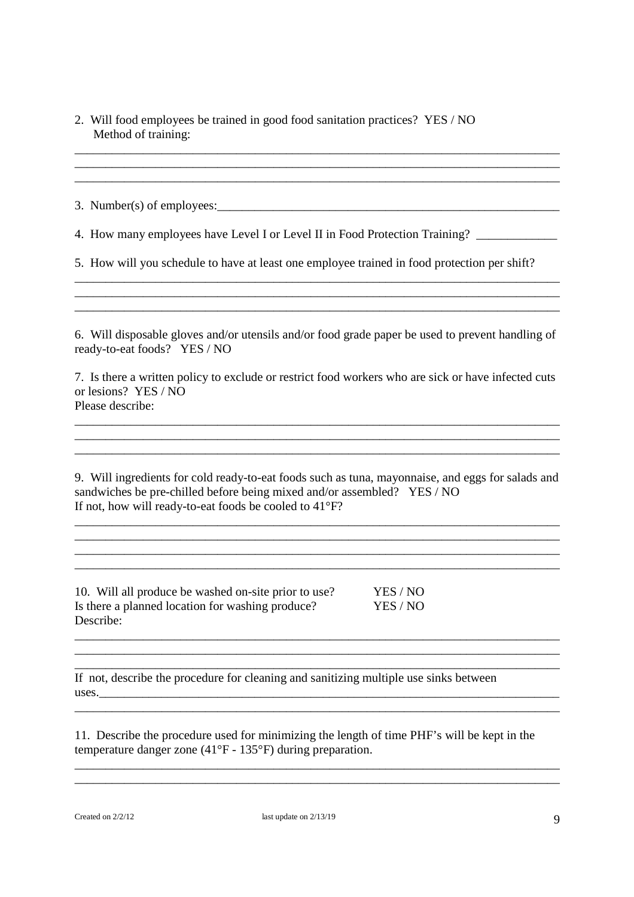| 2. Will food employees be trained in good food sanitation practices? YES / NO |  |
|-------------------------------------------------------------------------------|--|
| Method of training:                                                           |  |

\_\_\_\_\_\_\_\_\_\_\_\_\_\_\_\_\_\_\_\_\_\_\_\_\_\_\_\_\_\_\_\_\_\_\_\_\_\_\_\_\_\_\_\_\_\_\_\_\_\_\_\_\_\_\_\_\_\_\_\_\_\_\_\_\_\_\_\_\_\_\_\_\_\_\_\_\_\_ \_\_\_\_\_\_\_\_\_\_\_\_\_\_\_\_\_\_\_\_\_\_\_\_\_\_\_\_\_\_\_\_\_\_\_\_\_\_\_\_\_\_\_\_\_\_\_\_\_\_\_\_\_\_\_\_\_\_\_\_\_\_\_\_\_\_\_\_\_\_\_\_\_\_\_\_\_\_ \_\_\_\_\_\_\_\_\_\_\_\_\_\_\_\_\_\_\_\_\_\_\_\_\_\_\_\_\_\_\_\_\_\_\_\_\_\_\_\_\_\_\_\_\_\_\_\_\_\_\_\_\_\_\_\_\_\_\_\_\_\_\_\_\_\_\_\_\_\_\_\_\_\_\_\_\_\_ 3. Number(s) of employees:  $\Box$ 4. How many employees have Level I or Level II in Food Protection Training? 5. How will you schedule to have at least one employee trained in food protection per shift? \_\_\_\_\_\_\_\_\_\_\_\_\_\_\_\_\_\_\_\_\_\_\_\_\_\_\_\_\_\_\_\_\_\_\_\_\_\_\_\_\_\_\_\_\_\_\_\_\_\_\_\_\_\_\_\_\_\_\_\_\_\_\_\_\_\_\_\_\_\_\_\_\_\_\_\_\_\_ \_\_\_\_\_\_\_\_\_\_\_\_\_\_\_\_\_\_\_\_\_\_\_\_\_\_\_\_\_\_\_\_\_\_\_\_\_\_\_\_\_\_\_\_\_\_\_\_\_\_\_\_\_\_\_\_\_\_\_\_\_\_\_\_\_\_\_\_\_\_\_\_\_\_\_\_\_\_ \_\_\_\_\_\_\_\_\_\_\_\_\_\_\_\_\_\_\_\_\_\_\_\_\_\_\_\_\_\_\_\_\_\_\_\_\_\_\_\_\_\_\_\_\_\_\_\_\_\_\_\_\_\_\_\_\_\_\_\_\_\_\_\_\_\_\_\_\_\_\_\_\_\_\_\_\_\_ 6. Will disposable gloves and/or utensils and/or food grade paper be used to prevent handling of ready-to-eat foods? YES / NO 7. Is there a written policy to exclude or restrict food workers who are sick or have infected cuts or lesions? YES / NO Please describe: \_\_\_\_\_\_\_\_\_\_\_\_\_\_\_\_\_\_\_\_\_\_\_\_\_\_\_\_\_\_\_\_\_\_\_\_\_\_\_\_\_\_\_\_\_\_\_\_\_\_\_\_\_\_\_\_\_\_\_\_\_\_\_\_\_\_\_\_\_\_\_\_\_\_\_\_\_\_ \_\_\_\_\_\_\_\_\_\_\_\_\_\_\_\_\_\_\_\_\_\_\_\_\_\_\_\_\_\_\_\_\_\_\_\_\_\_\_\_\_\_\_\_\_\_\_\_\_\_\_\_\_\_\_\_\_\_\_\_\_\_\_\_\_\_\_\_\_\_\_\_\_\_\_\_\_\_ \_\_\_\_\_\_\_\_\_\_\_\_\_\_\_\_\_\_\_\_\_\_\_\_\_\_\_\_\_\_\_\_\_\_\_\_\_\_\_\_\_\_\_\_\_\_\_\_\_\_\_\_\_\_\_\_\_\_\_\_\_\_\_\_\_\_\_\_\_\_\_\_\_\_\_\_\_\_ 9. Will ingredients for cold ready-to-eat foods such as tuna, mayonnaise, and eggs for salads and sandwiches be pre-chilled before being mixed and/or assembled? YES / NO If not, how will ready-to-eat foods be cooled to 41°F? \_\_\_\_\_\_\_\_\_\_\_\_\_\_\_\_\_\_\_\_\_\_\_\_\_\_\_\_\_\_\_\_\_\_\_\_\_\_\_\_\_\_\_\_\_\_\_\_\_\_\_\_\_\_\_\_\_\_\_\_\_\_\_\_\_\_\_\_\_\_\_\_\_\_\_\_\_\_ \_\_\_\_\_\_\_\_\_\_\_\_\_\_\_\_\_\_\_\_\_\_\_\_\_\_\_\_\_\_\_\_\_\_\_\_\_\_\_\_\_\_\_\_\_\_\_\_\_\_\_\_\_\_\_\_\_\_\_\_\_\_\_\_\_\_\_\_\_\_\_\_\_\_\_\_\_\_ \_\_\_\_\_\_\_\_\_\_\_\_\_\_\_\_\_\_\_\_\_\_\_\_\_\_\_\_\_\_\_\_\_\_\_\_\_\_\_\_\_\_\_\_\_\_\_\_\_\_\_\_\_\_\_\_\_\_\_\_\_\_\_\_\_\_\_\_\_\_\_\_\_\_\_\_\_\_ 10. Will all produce be washed on-site prior to use? YES / NO Is there a planned location for washing produce? YES / NO Describe: \_\_\_\_\_\_\_\_\_\_\_\_\_\_\_\_\_\_\_\_\_\_\_\_\_\_\_\_\_\_\_\_\_\_\_\_\_\_\_\_\_\_\_\_\_\_\_\_\_\_\_\_\_\_\_\_\_\_\_\_\_\_\_\_\_\_\_\_\_\_\_\_\_\_\_\_\_\_ \_\_\_\_\_\_\_\_\_\_\_\_\_\_\_\_\_\_\_\_\_\_\_\_\_\_\_\_\_\_\_\_\_\_\_\_\_\_\_\_\_\_\_\_\_\_\_\_\_\_\_\_\_\_\_\_\_\_\_\_\_\_\_\_\_\_\_\_\_\_\_\_\_\_\_\_\_\_ If not, describe the procedure for cleaning and sanitizing multiple use sinks between uses.

11. Describe the procedure used for minimizing the length of time PHF's will be kept in the temperature danger zone (41°F - 135°F) during preparation.

\_\_\_\_\_\_\_\_\_\_\_\_\_\_\_\_\_\_\_\_\_\_\_\_\_\_\_\_\_\_\_\_\_\_\_\_\_\_\_\_\_\_\_\_\_\_\_\_\_\_\_\_\_\_\_\_\_\_\_\_\_\_\_\_\_\_\_\_\_\_\_\_\_\_\_\_\_\_

\_\_\_\_\_\_\_\_\_\_\_\_\_\_\_\_\_\_\_\_\_\_\_\_\_\_\_\_\_\_\_\_\_\_\_\_\_\_\_\_\_\_\_\_\_\_\_\_\_\_\_\_\_\_\_\_\_\_\_\_\_\_\_\_\_\_\_\_\_\_\_\_\_\_\_\_\_\_ \_\_\_\_\_\_\_\_\_\_\_\_\_\_\_\_\_\_\_\_\_\_\_\_\_\_\_\_\_\_\_\_\_\_\_\_\_\_\_\_\_\_\_\_\_\_\_\_\_\_\_\_\_\_\_\_\_\_\_\_\_\_\_\_\_\_\_\_\_\_\_\_\_\_\_\_\_\_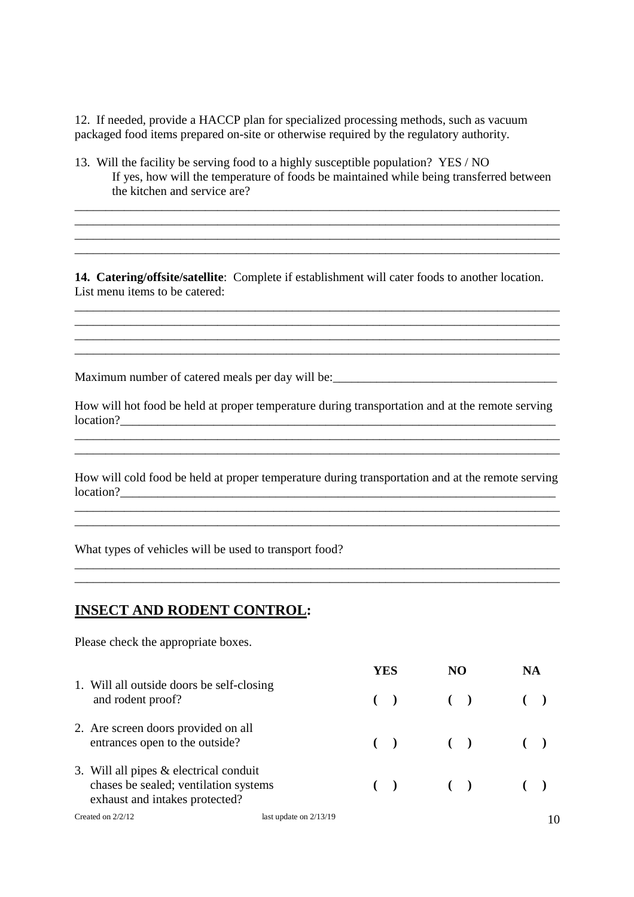12. If needed, provide a HACCP plan for specialized processing methods, such as vacuum packaged food items prepared on-site or otherwise required by the regulatory authority.

13. Will the facility be serving food to a highly susceptible population? YES / NO If yes, how will the temperature of foods be maintained while being transferred between the kitchen and service are?

\_\_\_\_\_\_\_\_\_\_\_\_\_\_\_\_\_\_\_\_\_\_\_\_\_\_\_\_\_\_\_\_\_\_\_\_\_\_\_\_\_\_\_\_\_\_\_\_\_\_\_\_\_\_\_\_\_\_\_\_\_\_\_\_\_\_\_\_\_\_\_\_\_\_\_\_\_\_

\_\_\_\_\_\_\_\_\_\_\_\_\_\_\_\_\_\_\_\_\_\_\_\_\_\_\_\_\_\_\_\_\_\_\_\_\_\_\_\_\_\_\_\_\_\_\_\_\_\_\_\_\_\_\_\_\_\_\_\_\_\_\_\_\_\_\_\_\_\_\_\_\_\_\_\_\_\_ \_\_\_\_\_\_\_\_\_\_\_\_\_\_\_\_\_\_\_\_\_\_\_\_\_\_\_\_\_\_\_\_\_\_\_\_\_\_\_\_\_\_\_\_\_\_\_\_\_\_\_\_\_\_\_\_\_\_\_\_\_\_\_\_\_\_\_\_\_\_\_\_\_\_\_\_\_\_

**14. Catering/offsite/satellite**: Complete if establishment will cater foods to another location. List menu items to be catered:

\_\_\_\_\_\_\_\_\_\_\_\_\_\_\_\_\_\_\_\_\_\_\_\_\_\_\_\_\_\_\_\_\_\_\_\_\_\_\_\_\_\_\_\_\_\_\_\_\_\_\_\_\_\_\_\_\_\_\_\_\_\_\_\_\_\_\_\_\_\_\_\_\_\_\_\_\_\_ \_\_\_\_\_\_\_\_\_\_\_\_\_\_\_\_\_\_\_\_\_\_\_\_\_\_\_\_\_\_\_\_\_\_\_\_\_\_\_\_\_\_\_\_\_\_\_\_\_\_\_\_\_\_\_\_\_\_\_\_\_\_\_\_\_\_\_\_\_\_\_\_\_\_\_\_\_\_ \_\_\_\_\_\_\_\_\_\_\_\_\_\_\_\_\_\_\_\_\_\_\_\_\_\_\_\_\_\_\_\_\_\_\_\_\_\_\_\_\_\_\_\_\_\_\_\_\_\_\_\_\_\_\_\_\_\_\_\_\_\_\_\_\_\_\_\_\_\_\_\_\_\_\_\_\_\_ \_\_\_\_\_\_\_\_\_\_\_\_\_\_\_\_\_\_\_\_\_\_\_\_\_\_\_\_\_\_\_\_\_\_\_\_\_\_\_\_\_\_\_\_\_\_\_\_\_\_\_\_\_\_\_\_\_\_\_\_\_\_\_\_\_\_\_\_\_\_\_\_\_\_\_\_\_\_

Maximum number of catered meals per day will be: \_\_\_\_\_\_\_\_\_\_\_\_\_\_\_\_\_\_\_\_\_\_\_\_\_\_\_\_\_\_\_\_

How will hot food be held at proper temperature during transportation and at the remote serving  $location?$ 

How will cold food be held at proper temperature during transportation and at the remote serving  $location?$ 

\_\_\_\_\_\_\_\_\_\_\_\_\_\_\_\_\_\_\_\_\_\_\_\_\_\_\_\_\_\_\_\_\_\_\_\_\_\_\_\_\_\_\_\_\_\_\_\_\_\_\_\_\_\_\_\_\_\_\_\_\_\_\_\_\_\_\_\_\_\_\_\_\_\_\_\_\_\_

\_\_\_\_\_\_\_\_\_\_\_\_\_\_\_\_\_\_\_\_\_\_\_\_\_\_\_\_\_\_\_\_\_\_\_\_\_\_\_\_\_\_\_\_\_\_\_\_\_\_\_\_\_\_\_\_\_\_\_\_\_\_\_\_\_\_\_\_\_\_\_\_\_\_\_\_\_\_

\_\_\_\_\_\_\_\_\_\_\_\_\_\_\_\_\_\_\_\_\_\_\_\_\_\_\_\_\_\_\_\_\_\_\_\_\_\_\_\_\_\_\_\_\_\_\_\_\_\_\_\_\_\_\_\_\_\_\_\_\_\_\_\_\_\_\_\_\_\_\_\_\_\_\_\_\_\_

\_\_\_\_\_\_\_\_\_\_\_\_\_\_\_\_\_\_\_\_\_\_\_\_\_\_\_\_\_\_\_\_\_\_\_\_\_\_\_\_\_\_\_\_\_\_\_\_\_\_\_\_\_\_\_\_\_\_\_\_\_\_\_\_\_\_\_\_\_\_\_\_\_\_\_\_\_\_

What types of vehicles will be used to transport food?

#### **INSECT AND RODENT CONTROL:**

Please check the appropriate boxes.

**YES NO NA** 1. Will all outside doors be self-closing and rodent proof? **( ) ( ) ( )** 2. Are screen doors provided on all entrances open to the outside? **(a) (b) (c) (c) (c)** 3. Will all pipes & electrical conduit chases be sealed; ventilation systems **( ) ( ) ( )** exhaust and intakes protected?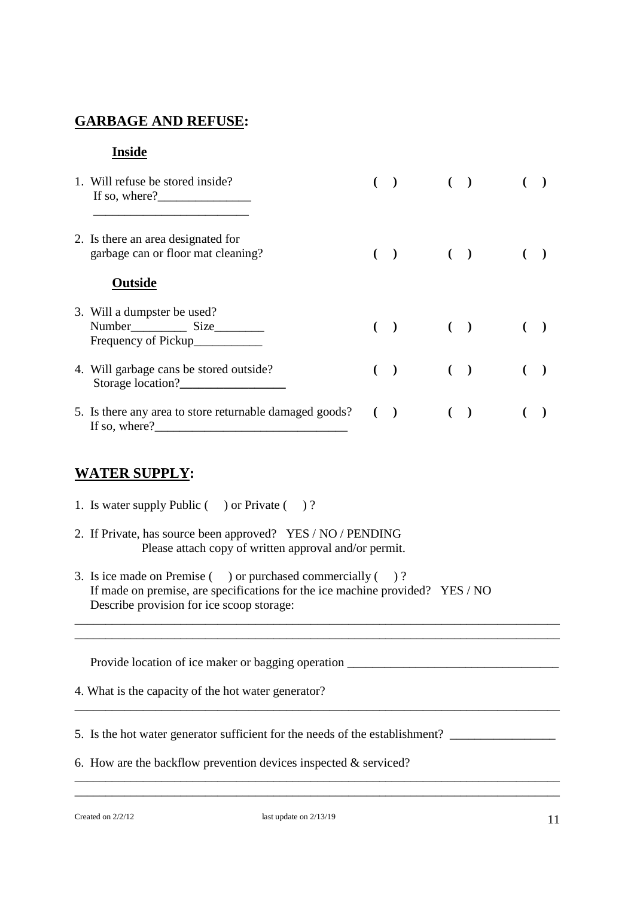#### **GARBAGE AND REFUSE:**

#### **Inside**

| 1. Will refuse be stored inside?<br>If so, where?                           |  |  | $\left( \begin{array}{cc} 1 & 1 \end{array} \right)$ |  |
|-----------------------------------------------------------------------------|--|--|------------------------------------------------------|--|
| 2. Is there an area designated for<br>garbage can or floor mat cleaning?    |  |  | $( ) \qquad ( ) \qquad ( )$                          |  |
| Outside                                                                     |  |  |                                                      |  |
| 3. Will a dumpster be used?<br>Number<br>Size                               |  |  | $( ) \qquad ( ) \qquad ( )$                          |  |
| 4. Will garbage cans be stored outside?<br>Storage location?                |  |  | $\begin{pmatrix} 1 & 1 \\ 1 & 1 \end{pmatrix}$       |  |
| 5. Is there any area to store returnable damaged goods? ()<br>If so, where? |  |  | $\begin{pmatrix} 1 & 1 \\ 1 & 1 \end{pmatrix}$       |  |

## **WATER SUPPLY:**

- 1. Is water supply Public ( ) or Private ( ) ?
- 2. If Private, has source been approved? YES / NO / PENDING Please attach copy of written approval and/or permit.
- 3. Is ice made on Premise () or purchased commercially ()? If made on premise, are specifications for the ice machine provided? YES / NO Describe provision for ice scoop storage:

\_\_\_\_\_\_\_\_\_\_\_\_\_\_\_\_\_\_\_\_\_\_\_\_\_\_\_\_\_\_\_\_\_\_\_\_\_\_\_\_\_\_\_\_\_\_\_\_\_\_\_\_\_\_\_\_\_\_\_\_\_\_\_\_\_\_\_\_\_\_\_\_\_\_\_\_\_\_ \_\_\_\_\_\_\_\_\_\_\_\_\_\_\_\_\_\_\_\_\_\_\_\_\_\_\_\_\_\_\_\_\_\_\_\_\_\_\_\_\_\_\_\_\_\_\_\_\_\_\_\_\_\_\_\_\_\_\_\_\_\_\_\_\_\_\_\_\_\_\_\_\_\_\_\_\_\_

\_\_\_\_\_\_\_\_\_\_\_\_\_\_\_\_\_\_\_\_\_\_\_\_\_\_\_\_\_\_\_\_\_\_\_\_\_\_\_\_\_\_\_\_\_\_\_\_\_\_\_\_\_\_\_\_\_\_\_\_\_\_\_\_\_\_\_\_\_\_\_\_\_\_\_\_\_\_

\_\_\_\_\_\_\_\_\_\_\_\_\_\_\_\_\_\_\_\_\_\_\_\_\_\_\_\_\_\_\_\_\_\_\_\_\_\_\_\_\_\_\_\_\_\_\_\_\_\_\_\_\_\_\_\_\_\_\_\_\_\_\_\_\_\_\_\_\_\_\_\_\_\_\_\_\_\_ \_\_\_\_\_\_\_\_\_\_\_\_\_\_\_\_\_\_\_\_\_\_\_\_\_\_\_\_\_\_\_\_\_\_\_\_\_\_\_\_\_\_\_\_\_\_\_\_\_\_\_\_\_\_\_\_\_\_\_\_\_\_\_\_\_\_\_\_\_\_\_\_\_\_\_\_\_\_

Provide location of ice maker or bagging operation

- 4. What is the capacity of the hot water generator?
- 5. Is the hot water generator sufficient for the needs of the establishment? \_\_\_\_\_\_\_\_\_\_\_\_\_\_\_\_\_
- 6. How are the backflow prevention devices inspected  $&$  serviced?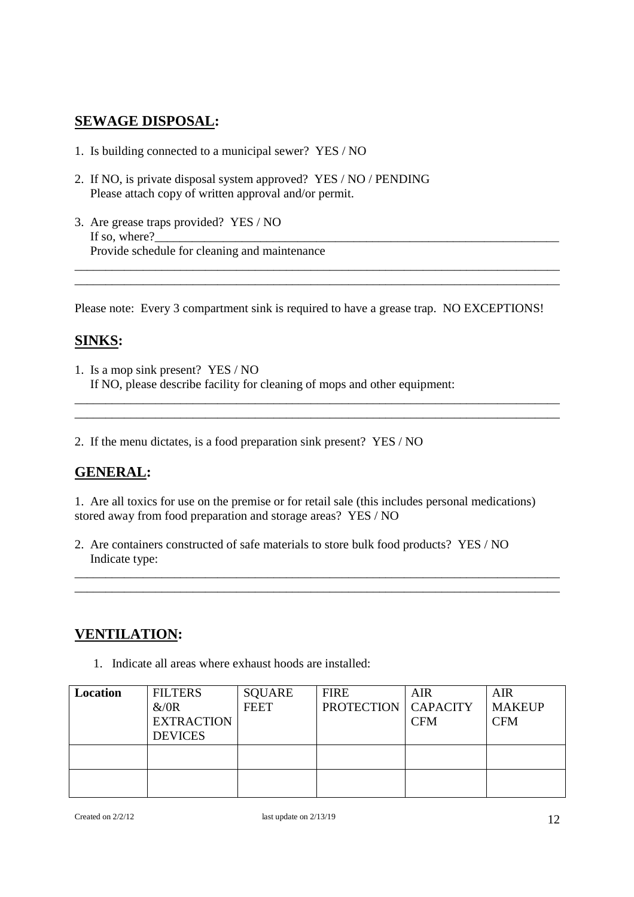#### **SEWAGE DISPOSAL:**

- 1. Is building connected to a municipal sewer? YES / NO
- 2. If NO, is private disposal system approved? YES / NO / PENDING Please attach copy of written approval and/or permit.
- 3. Are grease traps provided? YES / NO If so, where? Provide schedule for cleaning and maintenance

Please note: Every 3 compartment sink is required to have a grease trap. NO EXCEPTIONS!

\_\_\_\_\_\_\_\_\_\_\_\_\_\_\_\_\_\_\_\_\_\_\_\_\_\_\_\_\_\_\_\_\_\_\_\_\_\_\_\_\_\_\_\_\_\_\_\_\_\_\_\_\_\_\_\_\_\_\_\_\_\_\_\_\_\_\_\_\_\_\_\_\_\_\_\_\_\_ \_\_\_\_\_\_\_\_\_\_\_\_\_\_\_\_\_\_\_\_\_\_\_\_\_\_\_\_\_\_\_\_\_\_\_\_\_\_\_\_\_\_\_\_\_\_\_\_\_\_\_\_\_\_\_\_\_\_\_\_\_\_\_\_\_\_\_\_\_\_\_\_\_\_\_\_\_\_

\_\_\_\_\_\_\_\_\_\_\_\_\_\_\_\_\_\_\_\_\_\_\_\_\_\_\_\_\_\_\_\_\_\_\_\_\_\_\_\_\_\_\_\_\_\_\_\_\_\_\_\_\_\_\_\_\_\_\_\_\_\_\_\_\_\_\_\_\_\_\_\_\_\_\_\_\_\_ \_\_\_\_\_\_\_\_\_\_\_\_\_\_\_\_\_\_\_\_\_\_\_\_\_\_\_\_\_\_\_\_\_\_\_\_\_\_\_\_\_\_\_\_\_\_\_\_\_\_\_\_\_\_\_\_\_\_\_\_\_\_\_\_\_\_\_\_\_\_\_\_\_\_\_\_\_\_

#### **SINKS:**

1. Is a mop sink present? YES / NO If NO, please describe facility for cleaning of mops and other equipment:

2. If the menu dictates, is a food preparation sink present? YES / NO

#### **GENERAL:**

1. Are all toxics for use on the premise or for retail sale (this includes personal medications) stored away from food preparation and storage areas? YES / NO

\_\_\_\_\_\_\_\_\_\_\_\_\_\_\_\_\_\_\_\_\_\_\_\_\_\_\_\_\_\_\_\_\_\_\_\_\_\_\_\_\_\_\_\_\_\_\_\_\_\_\_\_\_\_\_\_\_\_\_\_\_\_\_\_\_\_\_\_\_\_\_\_\_\_\_\_\_\_ \_\_\_\_\_\_\_\_\_\_\_\_\_\_\_\_\_\_\_\_\_\_\_\_\_\_\_\_\_\_\_\_\_\_\_\_\_\_\_\_\_\_\_\_\_\_\_\_\_\_\_\_\_\_\_\_\_\_\_\_\_\_\_\_\_\_\_\_\_\_\_\_\_\_\_\_\_\_

2. Are containers constructed of safe materials to store bulk food products? YES / NO Indicate type:

#### **VENTILATION:**

1. Indicate all areas where exhaust hoods are installed:

| Location | <b>FILTERS</b>    | <b>SQUARE</b> | <b>FIRE</b>                  | <b>AIR</b> | <b>AIR</b>    |
|----------|-------------------|---------------|------------------------------|------------|---------------|
|          | &/0R              | <b>FEET</b>   | <b>PROTECTION   CAPACITY</b> |            | <b>MAKEUP</b> |
|          | <b>EXTRACTION</b> |               |                              | <b>CFM</b> | <b>CFM</b>    |
|          | <b>DEVICES</b>    |               |                              |            |               |
|          |                   |               |                              |            |               |
|          |                   |               |                              |            |               |
|          |                   |               |                              |            |               |
|          |                   |               |                              |            |               |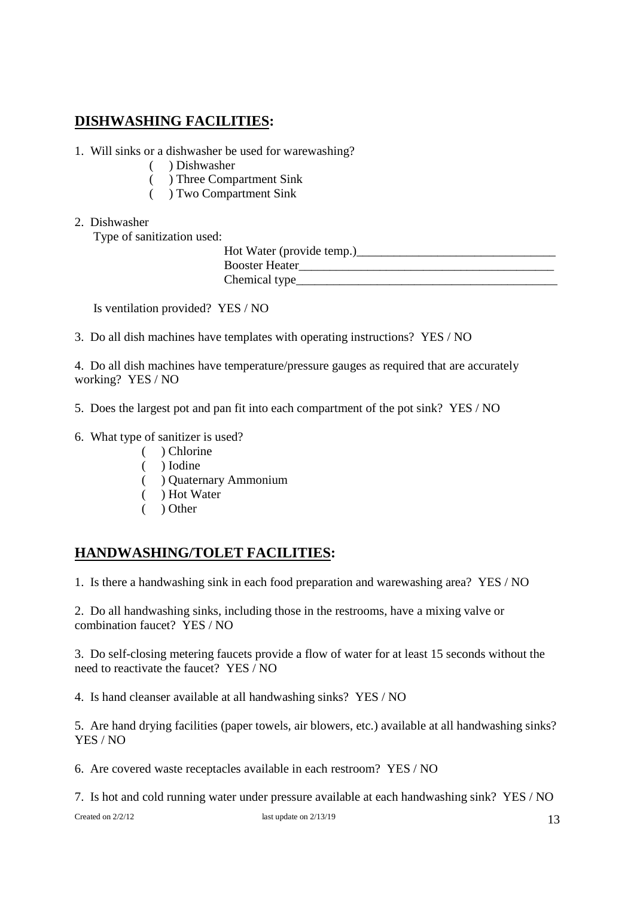## **DISHWASHING FACILITIES:**

- 1. Will sinks or a dishwasher be used for warewashing?
	- ( ) Dishwasher
	- ( ) Three Compartment Sink
	- ( ) Two Compartment Sink
- 2. Dishwasher

Type of sanitization used:

| Hot Water (provide temp.) |
|---------------------------|
| <b>Booster Heater</b>     |
| Chemical type             |

Is ventilation provided? YES / NO

3. Do all dish machines have templates with operating instructions? YES / NO

4. Do all dish machines have temperature/pressure gauges as required that are accurately working? YES / NO

- 5. Does the largest pot and pan fit into each compartment of the pot sink? YES / NO
- 6. What type of sanitizer is used?
	- ( ) Chlorine
	- ( ) Iodine
	- ( ) Quaternary Ammonium
	- ( ) Hot Water
	- ( ) Other

## **HANDWASHING/TOLET FACILITIES:**

1. Is there a handwashing sink in each food preparation and warewashing area? YES / NO

2. Do all handwashing sinks, including those in the restrooms, have a mixing valve or combination faucet? YES / NO

3. Do self-closing metering faucets provide a flow of water for at least 15 seconds without the need to reactivate the faucet? YES / NO

4. Is hand cleanser available at all handwashing sinks? YES / NO

5. Are hand drying facilities (paper towels, air blowers, etc.) available at all handwashing sinks? YES / NO

6. Are covered waste receptacles available in each restroom? YES / NO

7. Is hot and cold running water under pressure available at each handwashing sink? YES / NO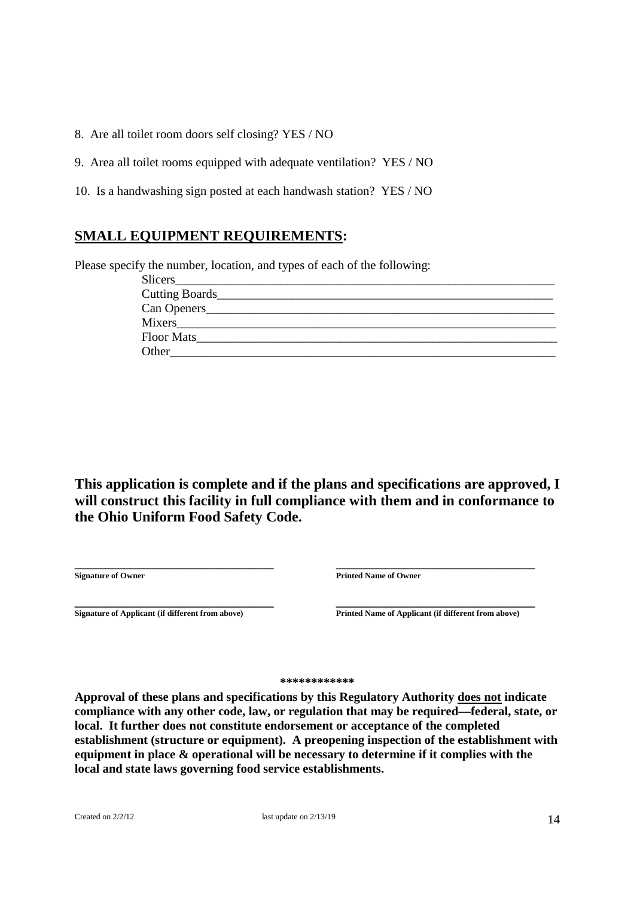8. Are all toilet room doors self closing? YES / NO

9. Area all toilet rooms equipped with adequate ventilation? YES / NO

10. Is a handwashing sign posted at each handwash station? YES / NO

#### **SMALL EQUIPMENT REQUIREMENTS:**

Please specify the number, location, and types of each of the following:

| Floor Mats |  |
|------------|--|
| Other      |  |

**This application is complete and if the plans and specifications are approved, I will construct this facility in full compliance with them and in conformance to the Ohio Uniform Food Safety Code.**

**\_\_\_\_\_\_\_\_\_\_\_\_\_\_\_\_\_\_\_\_\_\_\_\_\_\_\_\_\_\_\_\_ \_\_\_\_\_\_\_\_\_\_\_\_\_\_\_\_\_\_\_\_\_\_\_\_\_\_\_\_\_\_\_\_**

**Signature of Owner Printed Name of Owner**

**\_\_\_\_\_\_\_\_\_\_\_\_\_\_\_\_\_\_\_\_\_\_\_\_\_\_\_\_\_\_\_\_ \_\_\_\_\_\_\_\_\_\_\_\_\_\_\_\_\_\_\_\_\_\_\_\_\_\_\_\_\_\_\_\_ Signature of Applicant (if different from above) Printed Name of Applicant (if different from above)**

**\*\*\*\*\*\*\*\*\*\*\*\***

**Approval of these plans and specifications by this Regulatory Authority does not indicate compliance with any other code, law, or regulation that may be required—federal, state, or local. It further does not constitute endorsement or acceptance of the completed establishment (structure or equipment). A preopening inspection of the establishment with equipment in place & operational will be necessary to determine if it complies with the local and state laws governing food service establishments.**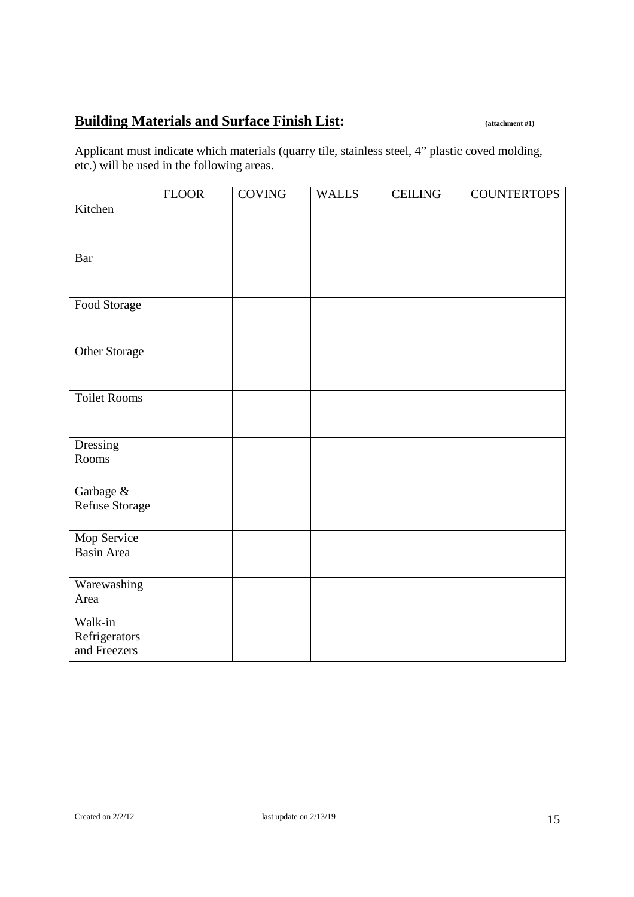# **Building Materials and Surface Finish List: (attachment #1)**

Applicant must indicate which materials (quarry tile, stainless steel, 4" plastic coved molding, etc.) will be used in the following areas.

|                          | ${\rm FLOOR}$ | <b>COVING</b> | <b>WALLS</b> | <b>CEILING</b> | <b>COUNTERTOPS</b> |
|--------------------------|---------------|---------------|--------------|----------------|--------------------|
| Kitchen                  |               |               |              |                |                    |
|                          |               |               |              |                |                    |
|                          |               |               |              |                |                    |
| <b>Bar</b>               |               |               |              |                |                    |
|                          |               |               |              |                |                    |
|                          |               |               |              |                |                    |
| Food Storage             |               |               |              |                |                    |
|                          |               |               |              |                |                    |
|                          |               |               |              |                |                    |
| Other Storage            |               |               |              |                |                    |
|                          |               |               |              |                |                    |
|                          |               |               |              |                |                    |
| <b>Toilet Rooms</b>      |               |               |              |                |                    |
|                          |               |               |              |                |                    |
|                          |               |               |              |                |                    |
| Dressing<br>Rooms        |               |               |              |                |                    |
|                          |               |               |              |                |                    |
| Garbage &                |               |               |              |                |                    |
| Refuse Storage           |               |               |              |                |                    |
|                          |               |               |              |                |                    |
| Mop Service              |               |               |              |                |                    |
| <b>Basin Area</b>        |               |               |              |                |                    |
|                          |               |               |              |                |                    |
| Warewashing              |               |               |              |                |                    |
| Area                     |               |               |              |                |                    |
|                          |               |               |              |                |                    |
| Walk-in<br>Refrigerators |               |               |              |                |                    |
| and Freezers             |               |               |              |                |                    |
|                          |               |               |              |                |                    |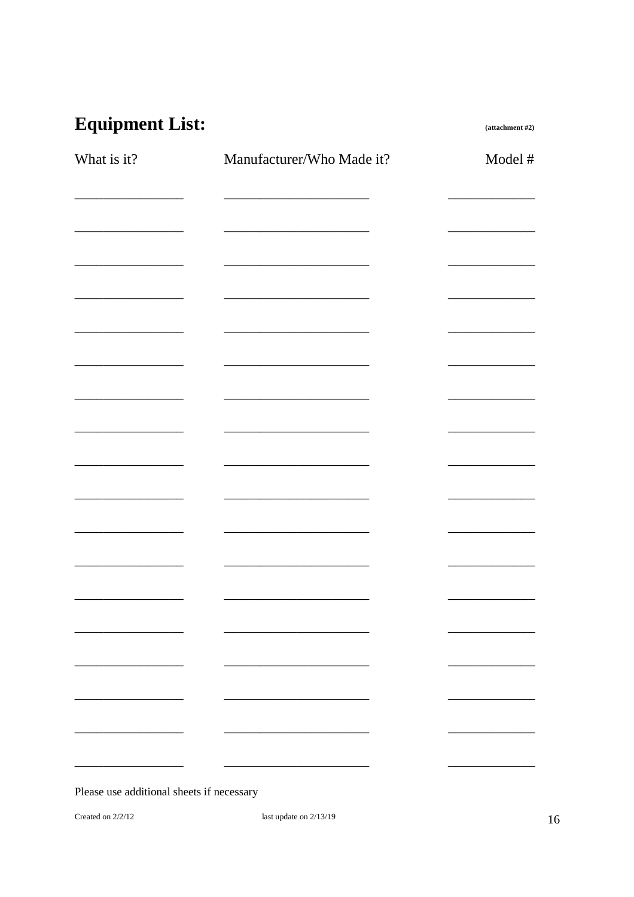# **Equipment List:**

 $(attachment #2)$ 

| What is it?                                                     | Manufacturer/Who Made it?                                                                                             | Model # |
|-----------------------------------------------------------------|-----------------------------------------------------------------------------------------------------------------------|---------|
|                                                                 |                                                                                                                       |         |
| <u> 1989 - Jan James Alemany, prima politik politik (</u>       |                                                                                                                       |         |
|                                                                 |                                                                                                                       |         |
|                                                                 | <u> 1989 - Johann Johann Harry Hermann (d. 1989)</u>                                                                  |         |
|                                                                 |                                                                                                                       |         |
| <u> 1989 - Johann John Harry Barnett, fransk politik (d. 19</u> |                                                                                                                       |         |
|                                                                 |                                                                                                                       |         |
|                                                                 | <u> 2002 - Johann Johann Stoff, deutscher Stoffen und der Stoffen und der Stoffen und der Stoffen und der Stoffen</u> |         |
|                                                                 |                                                                                                                       |         |
|                                                                 |                                                                                                                       |         |
|                                                                 |                                                                                                                       |         |
|                                                                 | <u> 1989 - Johann John Harrison, fransk politik (d. 19</u>                                                            |         |
|                                                                 |                                                                                                                       |         |
|                                                                 |                                                                                                                       |         |
|                                                                 |                                                                                                                       |         |
| $\sim$ $\sim$ $\sim$ $\sim$ $\sim$                              |                                                                                                                       |         |
| $\mathbf{r}$ and $\mathbf{r}$ and $\mathbf{r}$                  |                                                                                                                       |         |
|                                                                 |                                                                                                                       |         |

Please use additional sheets if necessary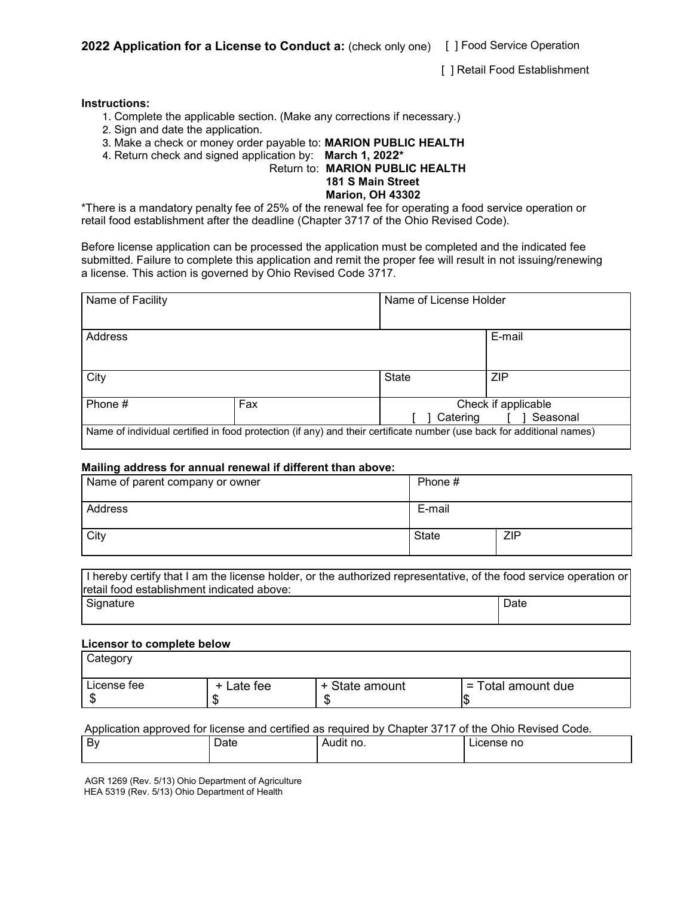**202**2 **Application for a License to Conduct a:** (check only one) [ ] Food Service Operation

[ ] Retail Food Establishment

#### **Instructions:**

- 1. Complete the applicable section. (Make any corrections if necessary.)
- 2. Sign and date the application.
- 3. Make a check or money order payable to: **MARION PUBLIC HEALTH**
- 4. Return check and signed application by: **March 1, 202**2**\***

#### Return to: **MARION PUBLIC HEALTH**

#### **181 S Main Street Marion, OH 43302**

\*There is a mandatory penalty fee of 25% of the renewal fee for operating a food service operation or retail food establishment after the deadline (Chapter 3717 of the Ohio Revised Code).

Before license application can be processed the application must be completed and the indicated fee submitted. Failure to complete this application and remit the proper fee will result in not issuing/renewing a license. This action is governed by Ohio Revised Code 3717.

| Name of Facility |     | Name of License Holder |                      |
|------------------|-----|------------------------|----------------------|
|                  |     |                        |                      |
| Address          |     |                        | E-mail               |
|                  |     |                        |                      |
| City             |     | State                  | <b>ZIP</b>           |
| Phone #          | Fax |                        | Check if applicable  |
|                  |     |                        | Seasonal<br>Catering |

#### **Mailing address for annual renewal if different than above:**

| Name of parent company or owner | Phone # |     |  |
|---------------------------------|---------|-----|--|
| Address                         | E-mail  |     |  |
| City                            | State   | ZIP |  |

I hereby certify that I am the license holder, or the authorized representative, of the food service operation or retail food establishment indicated above: Signature Date Date of the Date of the Date of the Date of the Date of the Date of the Date of the Date of the

#### **Licensor to complete below**

| Category               |                 |                |                    |
|------------------------|-----------------|----------------|--------------------|
| License fee<br>ጦ<br>۰D | + Late fee<br>w | + State amount | = Total amount due |

#### Application approved for license and certified as required by Chapter 3717 of the Ohio Revised Code.

| By | Date | .<br>Audit no. | lcense no |
|----|------|----------------|-----------|
|    |      |                |           |

AGR 1269 (Rev. 5/13) Ohio Department of Agriculture HEA 5319 (Rev. 5/13) Ohio Department of Health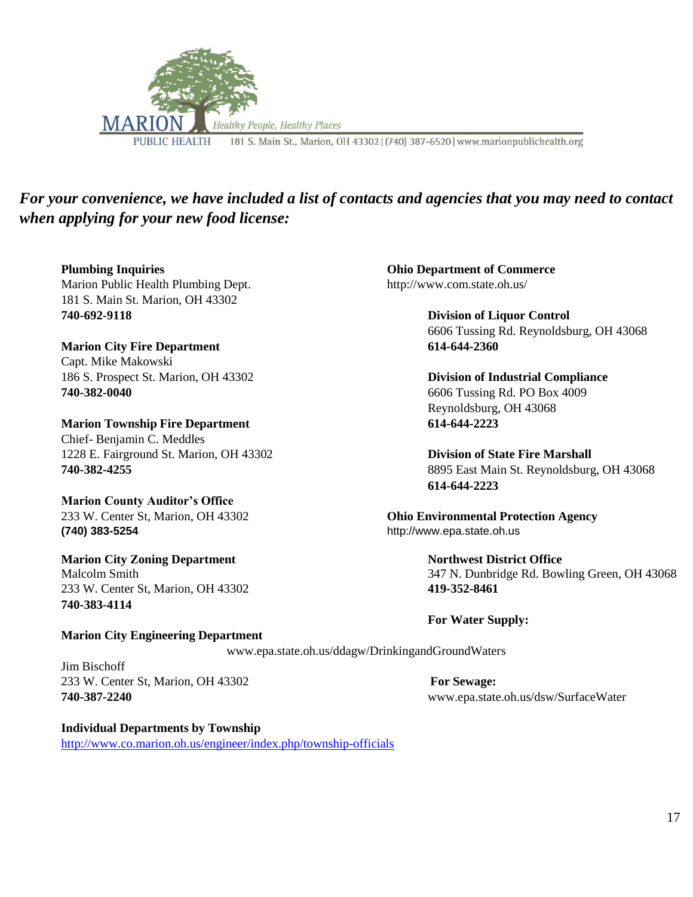

# *For your convenience, we have included a list of contacts and agencies that you may need to contact when applying for your new food license:*

**Plumbing Inquiries Ohio Department of Commerce**  Marion Public Health Plumbing Dept. http://www.com.state.oh.us/ 181 S. Main St. Marion, OH 43302 **740-692-9118 Division of Liquor Control** 

**Marion City Fire Department 614-644-2360** Capt. Mike Makowski 186 S. Prospect St. Marion, OH 43302 **Division of Industrial Compliance 740-382-0040** 6606 Tussing Rd. PO Box 4009

**Marion Township Fire Department 614-644-2223** Chief- Benjamin C. Meddles 1228 E. Fairground St. Marion, OH 43302 **Division of State Fire Marshall**

**Marion County Auditor's Office (740) 383-5254** http://www.epa.state.oh.us

**Marion City Zoning Department Northwest District Office**  233 W. Center St, Marion, OH 43302 **419-352-8461 740-383-4114**

**Marion City Engineering Department** 

6606 Tussing Rd. Reynoldsburg, OH 43068

Reynoldsburg, OH 43068

**740-382-4255** 8895 East Main St. Reynoldsburg, OH 43068 **614-644-2223**

233 W. Center St, Marion, OH 43302 **Ohio Environmental Protection Agency** 

Malcolm Smith 347 N. Dunbridge Rd. Bowling Green, OH 43068

**For Water Supply:**

www.epa.state.oh.us/ddagw/DrinkingandGroundWaters

Jim Bischoff 233 W. Center St, Marion, OH 43302 **For Sewage:**

**Individual Departments by Township**  <http://www.co.marion.oh.us/engineer/index.php/township-officials>

**740-387-2240** www.epa.state.oh.us/dsw/SurfaceWater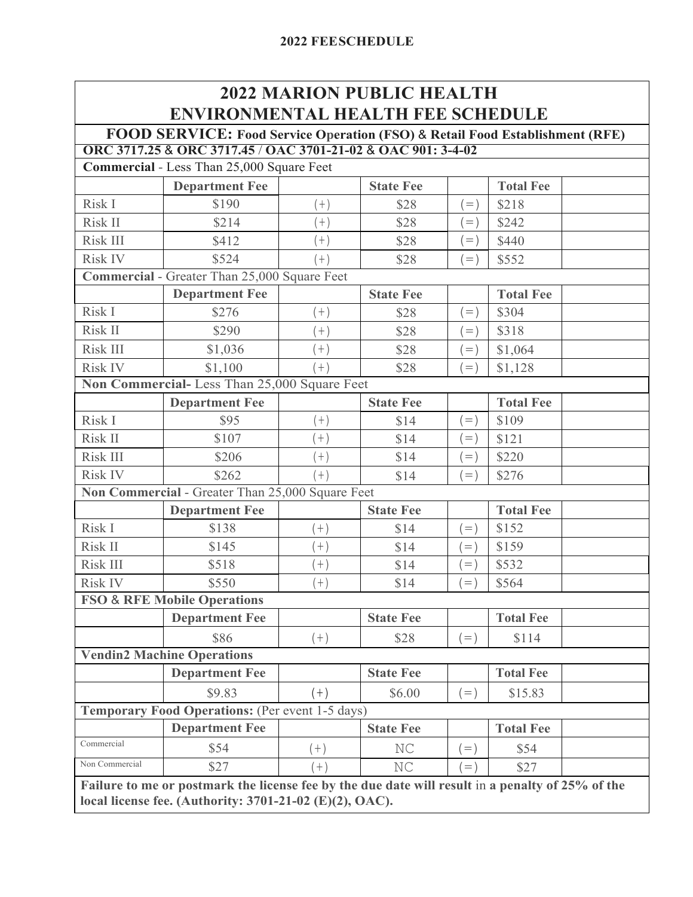| <b>2022 MARION PUBLIC HEALTH</b>         |
|------------------------------------------|
| <b>ENVIRONMENTAL HEALTH FEE SCHEDULE</b> |

#### **FOOD SERVICE: Food Service Operation (FSO)** & **Retail Food Establishment (RFE) ORC 3717.25** & **ORC 3717.45** / **OAC 3701-21-02** & **OAC 901: 3-4-02**

**Commercial** - Less Than 25,000 Square Feet

|                | Commercial - Less Than $23,000$ Square Feet      |       |                  |             |                  |  |
|----------------|--------------------------------------------------|-------|------------------|-------------|------------------|--|
|                | <b>Department Fee</b>                            |       | <b>State Fee</b> |             | <b>Total Fee</b> |  |
| Risk I         | \$190                                            | $(+)$ | \$28             | $=$ )       | \$218            |  |
| Risk II        | \$214                                            | $+$ ) | \$28             | $=$ )       | \$242            |  |
| Risk III       | \$412                                            | $(+)$ | \$28             | $=$ )       | \$440            |  |
| <b>Risk IV</b> | \$524                                            | $(+)$ | \$28             | $=$ )       | \$552            |  |
|                | Commercial - Greater Than 25,000 Square Feet     |       |                  |             |                  |  |
|                | <b>Department Fee</b>                            |       | <b>State Fee</b> |             | <b>Total Fee</b> |  |
| Risk I         | \$276                                            | $(+)$ | \$28             | $=$ )       | \$304            |  |
| Risk II        | \$290                                            | $(+)$ | \$28             | $=$ )       | \$318            |  |
| Risk III       | \$1,036                                          | $(+)$ | \$28             | $(=)$       | \$1,064          |  |
| <b>Risk IV</b> | \$1,100                                          | $(+)$ | \$28             | $\dot{=}$ ) | \$1,128          |  |
|                | Non Commercial-Less Than 25,000 Square Feet      |       |                  |             |                  |  |
|                | <b>Department Fee</b>                            |       | <b>State Fee</b> |             | <b>Total Fee</b> |  |
| Risk I         | \$95                                             | $(+)$ | \$14             | $\dot{}=$ ) | \$109            |  |
| Risk II        | \$107                                            | $(+)$ | \$14             | $( = )$     | \$121            |  |
| Risk III       | \$206                                            | $(+)$ | \$14             | $=$ )       | \$220            |  |
| <b>Risk IV</b> | \$262                                            | $(+)$ | \$14             | $=$ )       | \$276            |  |
|                | Non Commercial - Greater Than 25,000 Square Feet |       |                  |             |                  |  |
|                | <b>Department Fee</b>                            |       | <b>State Fee</b> |             | <b>Total Fee</b> |  |
| Risk I         | \$138                                            | $(+)$ | \$14             | $\dot{=}$ ) | \$152            |  |
| Risk II        | \$145                                            | $(+)$ | \$14             | $\dot{}=$ ) | \$159            |  |
| Risk III       | \$518                                            | $(+)$ | \$14             | $=$ )       | \$532            |  |
| <b>Risk IV</b> | \$550                                            | $(+)$ | \$14             | $=$         | \$564            |  |
|                | <b>FSO &amp; RFE Mobile Operations</b>           |       |                  |             |                  |  |
|                | <b>Department Fee</b>                            |       | <b>State Fee</b> |             | <b>Total Fee</b> |  |
|                | \$86                                             | $(+)$ | \$28             | $(=)$       | \$114            |  |
|                | <b>Vendin2 Machine Operations</b>                |       |                  |             |                  |  |
|                | <b>Department Fee</b>                            |       | <b>State Fee</b> |             | <b>Total Fee</b> |  |
|                | \$9.83                                           | $(+)$ | \$6.00           | $=$ )       | \$15.83          |  |
|                | Temporary Food Operations: (Per event 1-5 days)  |       |                  |             |                  |  |
|                |                                                  |       | <b>State Fee</b> |             | <b>Total Fee</b> |  |
|                | <b>Department Fee</b>                            |       |                  |             |                  |  |
| Commercial     | \$54                                             | $(+)$ | NC               | $=$ )       | \$54             |  |